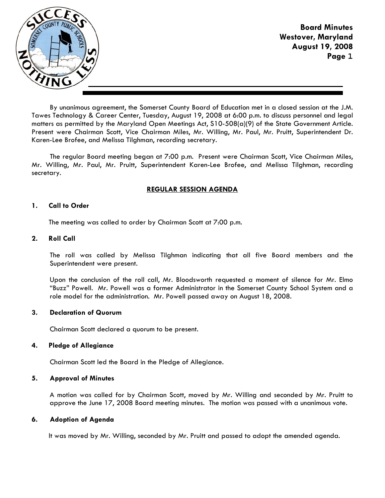

**Board Minutes Westover, Maryland August 19, 2008 Page 1**

By unanimous agreement, the Somerset County Board of Education met in a closed session at the J.M. Tawes Technology & Career Center, Tuesday, August 19, 2008 at 6:00 p.m. to discuss personnel and legal matters as permitted by the Maryland Open Meetings Act, S10-508(a)(9) of the State Government Article. Present were Chairman Scott, Vice Chairman Miles, Mr. Willing, Mr. Paul, Mr. Pruitt, Superintendent Dr. Karen-Lee Brofee, and Melissa Tilghman, recording secretary.

The regular Board meeting began at 7:00 p.m. Present were Chairman Scott, Vice Chairman Miles, Mr. Willing, Mr. Paul, Mr. Pruitt, Superintendent Karen-Lee Brofee, and Melissa Tilghman, recording secretary.

# **REGULAR SESSION AGENDA**

## **1. Call to Order**

The meeting was called to order by Chairman Scott at 7:00 p.m.

### **2. Roll Call**

The roll was called by Melissa Tilghman indicating that all five Board members and the Superintendent were present.

Upon the conclusion of the roll call, Mr. Bloodsworth requested a moment of silence for Mr. Elmo "Buzz" Powell. Mr. Powell was a former Administrator in the Somerset County School System and a role model for the administration. Mr. Powell passed away on August 18, 2008.

## **3. Declaration of Quorum**

Chairman Scott declared a quorum to be present.

## **4. Pledge of Allegiance**

Chairman Scott led the Board in the Pledge of Allegiance.

## **5. Approval of Minutes**

A motion was called for by Chairman Scott, moved by Mr. Willing and seconded by Mr. Pruitt to approve the June 17, 2008 Board meeting minutes. The motion was passed with a unanimous vote.

## **6. Adoption of Agenda**

It was moved by Mr. Willing, seconded by Mr. Pruitt and passed to adopt the amended agenda.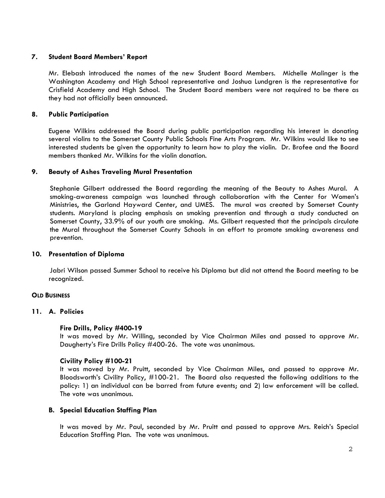## **7. Student Board Members' Report**

Mr. Elebash introduced the names of the new Student Board Members. Michelle Malinger is the Washington Academy and High School representative and Joshua Lundgren is the representative for Crisfield Academy and High School. The Student Board members were not required to be there as they had not officially been announced.

## **8. Public Participation**

Eugene Wilkins addressed the Board during public participation regarding his interest in donating several violins to the Somerset County Public Schools Fine Arts Program. Mr. Wilkins would like to see interested students be given the opportunity to learn how to play the violin. Dr. Brofee and the Board members thanked Mr. Wilkins for the violin donation.

## **9. Beauty of Ashes Traveling Mural Presentation**

 Stephanie Gilbert addressed the Board regarding the meaning of the Beauty to Ashes Mural. A smoking-awareness campaign was launched through collaboration with the Center for Women's Ministries, the Garland Hayward Center, and UMES. The mural was created by Somerset County students. Maryland is placing emphasis on smoking prevention and through a study conducted on Somerset County, 33.9% of our youth are smoking. Ms. Gilbert requested that the principals circulate the Mural throughout the Somerset County Schools in an effort to promote smoking awareness and prevention.

## **10. Presentation of Diploma**

 Jabri Wilson passed Summer School to receive his Diploma but did not attend the Board meeting to be recognized.

## **OLD BUSINESS**

## **11. A. Policies**

## **Fire Drills, Policy #400-19**

It was moved by Mr. Willing, seconded by Vice Chairman Miles and passed to approve Mr. Daugherty's Fire Drills Policy #400-26. The vote was unanimous.

## **Civility Policy #100-21**

It was moved by Mr. Pruitt, seconded by Vice Chairman Miles, and passed to approve Mr. Bloodsworth's Civility Policy, #100-21. The Board also requested the following additions to the policy: 1) an individual can be barred from future events; and 2) law enforcement will be called. The vote was unanimous.

## **B. Special Education Staffing Plan**

It was moved by Mr. Paul, seconded by Mr. Pruitt and passed to approve Mrs. Reich's Special Education Staffing Plan. The vote was unanimous.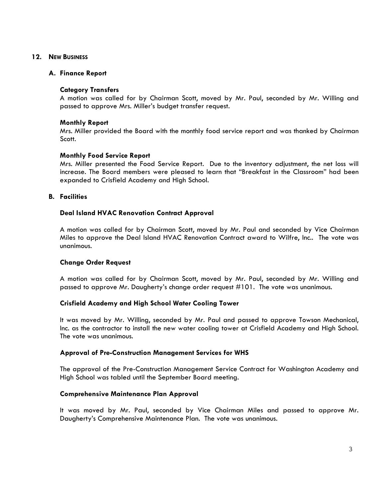### **12. NEW BUSINESS**

### **A. Finance Report**

## **Category Transfers**

A motion was called for by Chairman Scott, moved by Mr. Paul, seconded by Mr. Willing and passed to approve Mrs. Miller's budget transfer request.

### **Monthly Report**

Mrs. Miller provided the Board with the monthly food service report and was thanked by Chairman Scott.

### **Monthly Food Service Report**

Mrs. Miller presented the Food Service Report. Due to the inventory adjustment, the net loss will increase. The Board members were pleased to learn that "Breakfast in the Classroom" had been expanded to Crisfield Academy and High School.

### **B. Facilities**

## **Deal Island HVAC Renovation Contract Approval**

A motion was called for by Chairman Scott, moved by Mr. Paul and seconded by Vice Chairman Miles to approve the Deal Island HVAC Renovation Contract award to Wilfre, Inc.. The vote was unanimous.

#### **Change Order Request**

A motion was called for by Chairman Scott, moved by Mr. Paul, seconded by Mr. Willing and passed to approve Mr. Daugherty's change order request #101. The vote was unanimous.

## **Crisfield Academy and High School Water Cooling Tower**

It was moved by Mr. Willing, seconded by Mr. Paul and passed to approve Towson Mechanical, Inc. as the contractor to install the new water cooling tower at Crisfield Academy and High School. The vote was unanimous.

## **Approval of Pre-Construction Management Services for WHS**

The approval of the Pre-Construction Management Service Contract for Washington Academy and High School was tabled until the September Board meeting.

#### **Comprehensive Maintenance Plan Approval**

It was moved by Mr. Paul, seconded by Vice Chairman Miles and passed to approve Mr. Daugherty's Comprehensive Maintenance Plan. The vote was unanimous.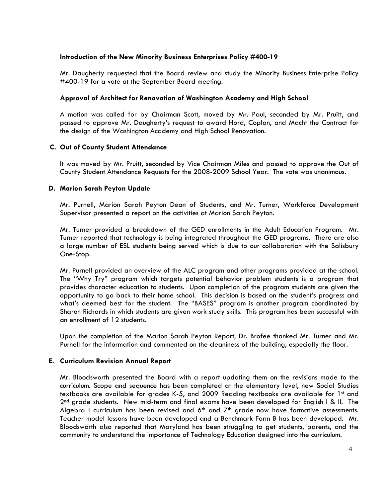## **Introduction of the New Minority Business Enterprises Policy #400-19**

Mr. Daugherty requested that the Board review and study the Minority Business Enterprise Policy #400-19 for a vote at the September Board meeting.

# **Approval of Architect for Renovation of Washington Academy and High School**

A motion was called for by Chairman Scott, moved by Mr. Paul, seconded by Mr. Pruitt, and passed to approve Mr. Daugherty's request to award Hord, Coplan, and Macht the Contract for the design of the Washington Academy and High School Renovation.

## **C. Out of County Student Attendance**

It was moved by Mr. Pruitt, seconded by Vice Chairman Miles and passed to approve the Out of County Student Attendance Requests for the 2008-2009 School Year. The vote was unanimous.

## **D. Marion Sarah Peyton Update**

Mr. Purnell, Marion Sarah Peyton Dean of Students, and Mr. Turner, Workforce Development Supervisor presented a report on the activities at Marion Sarah Peyton.

Mr. Turner provided a breakdown of the GED enrollments in the Adult Education Program. Mr. Turner reported that technology is being integrated throughout the GED programs. There are also a large number of ESL students being served which is due to our collaboration with the Salisbury One-Stop.

Mr. Purnell provided an overview of the ALC program and other programs provided at the school. The "Why Try" program which targets potential behavior problem students is a program that provides character education to students. Upon completion of the program students are given the opportunity to go back to their home school. This decision is based on the student's progress and what's deemed best for the student. The "BASES" program is another program coordinated by Sharon Richards in which students are given work study skills. This program has been successful with an enrollment of 12 students.

Upon the completion of the Marion Sarah Peyton Report, Dr. Brofee thanked Mr. Turner and Mr. Purnell for the information and commented on the cleaniness of the building, especially the floor.

## **E. Curriculum Revision Annual Report**

Mr. Bloodsworth presented the Board with a report updating them on the revisions made to the curriculum. Scope and sequence has been completed at the elementary level, new Social Studies textbooks are available for grades K-5, and 2009 Reading textbooks are available for 1st and  $2<sup>nd</sup>$  grade students. New mid-term and final exams have been developed for English I & II. The Algebra I curriculum has been revised and  $6<sup>th</sup>$  and  $7<sup>th</sup>$  grade now have formative assessments. Teacher model lessons have been developed and a Benchmark Form B has been developed. Mr. Bloodsworth also reported that Maryland has been struggling to get students, parents, and the community to understand the importance of Technology Education designed into the curriculum.